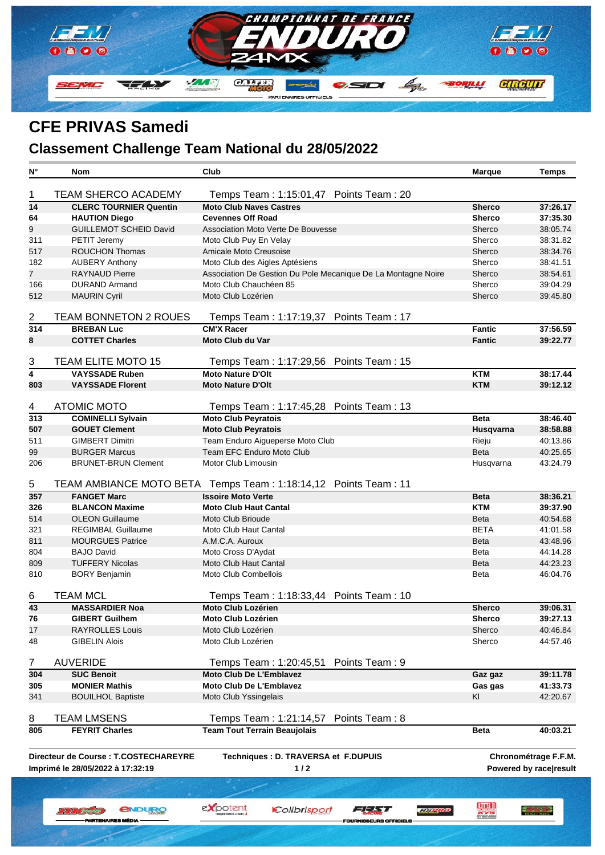

**CFE PRIVAS Samedi**

## **Classement Challenge Team National du 28/05/2022**

| $N^{\circ}$                           | <b>Nom</b>                    | Club                                                              | <b>Marque</b>          | <b>Temps</b> |
|---------------------------------------|-------------------------------|-------------------------------------------------------------------|------------------------|--------------|
|                                       |                               |                                                                   |                        |              |
| 1                                     | TEAM SHERCO ACADEMY           | Temps Team: 1:15:01,47    Points Team: 20                         |                        |              |
| $\overline{14}$                       | <b>CLERC TOURNIER Quentin</b> | <b>Moto Club Naves Castres</b>                                    | <b>Sherco</b>          | 37:26.17     |
| 64                                    | <b>HAUTION Diego</b>          | <b>Cevennes Off Road</b>                                          | <b>Sherco</b>          | 37:35.30     |
| 9                                     | <b>GUILLEMOT SCHEID David</b> | Association Moto Verte De Bouvesse                                | Sherco                 | 38:05.74     |
| 311                                   | PETIT Jeremy                  | Moto Club Puy En Velay                                            | Sherco                 | 38:31.82     |
| 517                                   | <b>ROUCHON Thomas</b>         | Amicale Moto Creusoise                                            | Sherco                 | 38:34.76     |
| 182                                   | <b>AUBERY Anthony</b>         | Moto Club des Aigles Aptésiens                                    | Sherco                 | 38:41.51     |
| $\overline{7}$                        | <b>RAYNAUD Pierre</b>         | Association De Gestion Du Pole Mecanique De La Montagne Noire     | Sherco                 | 38:54.61     |
| 166                                   | <b>DURAND Armand</b>          | Moto Club Chauchéen 85                                            | Sherco                 | 39:04.29     |
| 512                                   | <b>MAURIN Cyril</b>           | Moto Club Lozérien                                                | Sherco                 | 39:45.80     |
| $\overline{c}$                        | <b>TEAM BONNETON 2 ROUES</b>  | Temps Team: 1:17:19,37 Points Team: 17                            |                        |              |
| 314                                   | <b>BREBAN Luc</b>             | <b>CM'X Racer</b>                                                 | <b>Fantic</b>          | 37:56.59     |
| 8                                     | <b>COTTET Charles</b>         | <b>Moto Club du Var</b>                                           | <b>Fantic</b>          | 39:22.77     |
|                                       |                               |                                                                   |                        |              |
| 3                                     | <b>TEAM ELITE MOTO 15</b>     | Temps Team: 1:17:29,56 Points Team: 15                            |                        |              |
| $\overline{4}$                        | <b>VAYSSADE Ruben</b>         | <b>Moto Nature D'Olt</b>                                          | <b>KTM</b>             | 38:17.44     |
| 803                                   | <b>VAYSSADE Florent</b>       | <b>Moto Nature D'Olt</b>                                          | <b>KTM</b>             | 39:12.12     |
|                                       |                               |                                                                   |                        |              |
| 4                                     | <b>ATOMIC MOTO</b>            | Temps Team: 1:17:45,28 Points Team: 13                            |                        |              |
| 313                                   | <b>COMINELLI Sylvain</b>      | <b>Moto Club Peyratois</b>                                        | <b>Beta</b>            | 38:46.40     |
| 507                                   | <b>GOUET Clement</b>          | <b>Moto Club Peyratois</b>                                        | Husqvarna              | 38:58.88     |
| 511                                   | <b>GIMBERT Dimitri</b>        | Team Enduro Aigueperse Moto Club                                  | Rieju                  | 40:13.86     |
| 99                                    | <b>BURGER Marcus</b>          | Team EFC Enduro Moto Club                                         | Beta                   | 40:25.65     |
| 206                                   | <b>BRUNET-BRUN Clement</b>    | Motor Club Limousin                                               | Husqvarna              | 43:24.79     |
|                                       |                               |                                                                   |                        |              |
| 5                                     |                               | TEAM AMBIANCE MOTO BETA Temps Team: 1:18:14,12    Points Team: 11 |                        |              |
| 357                                   | <b>FANGET Marc</b>            | <b>Issoire Moto Verte</b>                                         | <b>Beta</b>            | 38:36.21     |
| 326                                   | <b>BLANCON Maxime</b>         | <b>Moto Club Haut Cantal</b>                                      | KTM                    | 39:37.90     |
| 514                                   | <b>OLEON Guillaume</b>        | Moto Club Brioude                                                 | Beta                   | 40:54.68     |
| 321                                   | <b>REGIMBAL Guillaume</b>     | Moto Club Haut Cantal                                             | <b>BETA</b>            | 41:01.58     |
| 811                                   | <b>MOURGUES Patrice</b>       | A.M.C.A. Auroux                                                   | Beta                   | 43:48.96     |
| 804                                   | <b>BAJO David</b>             | Moto Cross D'Aydat                                                | <b>Beta</b>            | 44:14.28     |
| 809                                   | <b>TUFFERY Nicolas</b>        | Moto Club Haut Cantal                                             | Beta                   | 44:23.23     |
| 810                                   | <b>BORY Benjamin</b>          | Moto Club Combellois                                              | Beta                   | 46:04.76     |
| 6                                     | <b>TEAM MCL</b>               | Temps Team: 1:18:33,44 Points Team: 10                            |                        |              |
| 43                                    | <b>MASSARDIER Noa</b>         | <b>Moto Club Lozérien</b>                                         | <b>Sherco</b>          | 39:06.31     |
| 76                                    | <b>GIBERT Guilhem</b>         | Moto Club Lozérien                                                | Sherco                 | 39:27.13     |
| 17                                    | RAYROLLES Louis               | Moto Club Lozérien                                                | Sherco                 | 40:46.84     |
| 48                                    | <b>GIBELIN Alois</b>          | Moto Club Lozérien                                                | Sherco                 | 44.57.46     |
|                                       |                               |                                                                   |                        |              |
| 7                                     | <b>AUVERIDE</b>               | Temps Team: 1:20:45,51 Points Team: 9                             |                        |              |
| 304                                   | <b>SUC Benoit</b>             | <b>Moto Club De L'Emblavez</b>                                    | Gaz gaz                | 39:11.78     |
| 305                                   | <b>MONIER Mathis</b>          | <b>Moto Club De L'Emblavez</b>                                    | Gas gas                | 41:33.73     |
| 341                                   | <b>BOUILHOL Baptiste</b>      | Moto Club Yssingelais                                             | KI                     | 42:20.67     |
|                                       |                               |                                                                   |                        |              |
| 8                                     | <b>TEAM LMSENS</b>            | Temps Team: 1:21:14,57<br>Points Team: 8                          |                        |              |
| 805                                   | <b>FEYRIT Charles</b>         | <b>Team Tout Terrain Beaujolais</b>                               | <b>Beta</b>            | 40:03.21     |
| Directeur de Course : T.COSTECHAREYRE |                               | Techniques : D. TRAVERSA et F.DUPUIS                              | Chronométrage F.F.M.   |              |
| Imprimé le 28/05/2022 à 17:32:19      |                               | 1/2                                                               | Powered by race result |              |
|                                       |                               |                                                                   |                        |              |
|                                       |                               |                                                                   |                        |              |
|                                       |                               | expotent<br>Colibrisport<br>RSPRI                                 | <b>TITEL</b>           |              |
|                                       | PARTENAIRES MÉDIA             | <b>FOURNISSEURS OFFICIELS</b>                                     |                        |              |